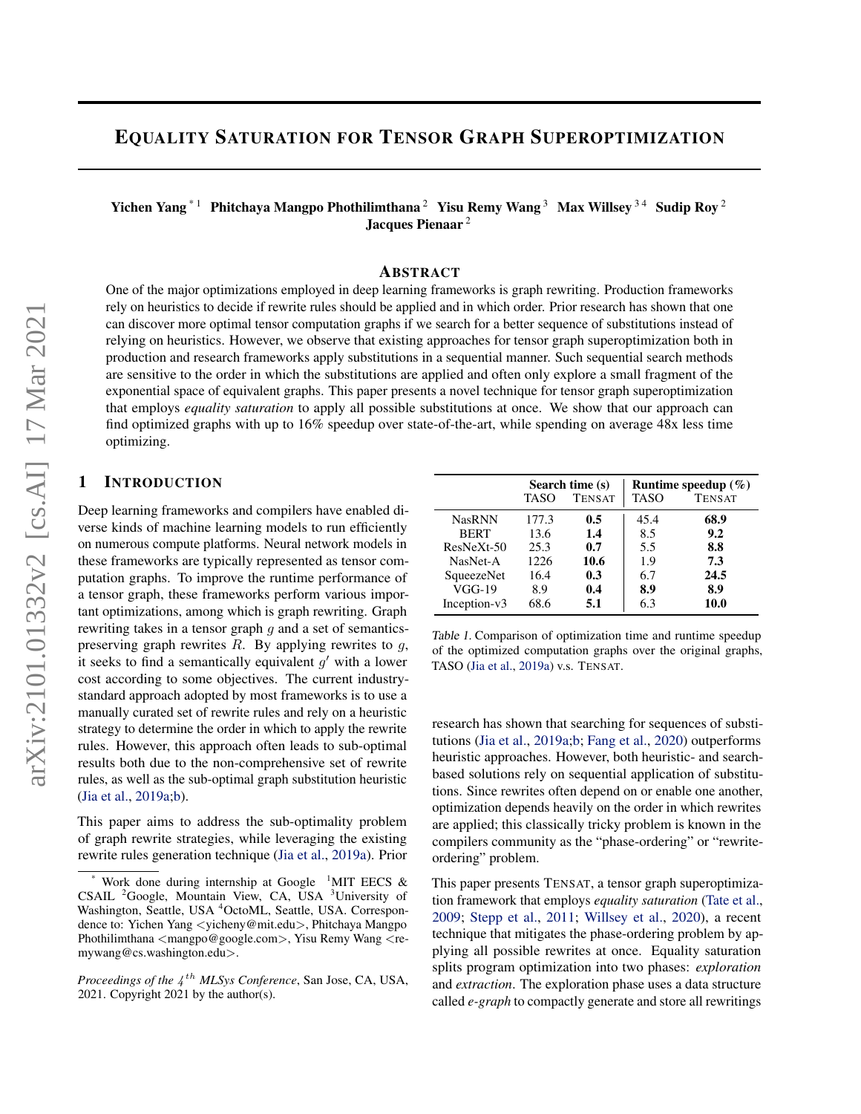# <span id="page-0-0"></span>EQUALITY SATURATION FOR TENSOR GRAPH SUPEROPTIMIZATION

Yichen Yang<sup>\*1</sup> Phitchaya Mangpo Phothilimthana<sup>2</sup> Yisu Remy Wang<sup>3</sup> Max Willsey<sup>34</sup> Sudip Roy<sup>2</sup> Jacques Pienaar<sup>2</sup>

#### ABSTRACT

One of the major optimizations employed in deep learning frameworks is graph rewriting. Production frameworks rely on heuristics to decide if rewrite rules should be applied and in which order. Prior research has shown that one can discover more optimal tensor computation graphs if we search for a better sequence of substitutions instead of relying on heuristics. However, we observe that existing approaches for tensor graph superoptimization both in production and research frameworks apply substitutions in a sequential manner. Such sequential search methods are sensitive to the order in which the substitutions are applied and often only explore a small fragment of the exponential space of equivalent graphs. This paper presents a novel technique for tensor graph superoptimization that employs *equality saturation* to apply all possible substitutions at once. We show that our approach can find optimized graphs with up to 16% speedup over state-of-the-art, while spending on average 48x less time optimizing.

## 1 INTRODUCTION

Deep learning frameworks and compilers have enabled diverse kinds of machine learning models to run efficiently on numerous compute platforms. Neural network models in these frameworks are typically represented as tensor computation graphs. To improve the runtime performance of a tensor graph, these frameworks perform various important optimizations, among which is graph rewriting. Graph rewriting takes in a tensor graph  $q$  and a set of semanticspreserving graph rewrites  $R$ . By applying rewrites to  $q$ , it seeks to find a semantically equivalent  $g'$  with a lower cost according to some objectives. The current industrystandard approach adopted by most frameworks is to use a manually curated set of rewrite rules and rely on a heuristic strategy to determine the order in which to apply the rewrite rules. However, this approach often leads to sub-optimal results both due to the non-comprehensive set of rewrite rules, as well as the sub-optimal graph substitution heuristic [\(Jia et al.,](#page-10-0) [2019a;b\)](#page-10-0).

This paper aims to address the sub-optimality problem of graph rewrite strategies, while leveraging the existing rewrite rules generation technique [\(Jia et al.,](#page-10-0) [2019a\)](#page-10-0). Prior

|               | Search time (s) |               | Runtime speedup $(\% )$ |               |
|---------------|-----------------|---------------|-------------------------|---------------|
|               | TASO            | <b>TENSAT</b> | <b>TASO</b>             | <b>TENSAT</b> |
| <b>NasRNN</b> | 177.3           | 0.5           | 45.4                    | 68.9          |
| <b>BERT</b>   | 13.6            | 1.4           | 8.5                     | 9.2           |
| $ResNeXt-50$  | 25.3            | 0.7           | 5.5                     | 8.8           |
| NasNet-A      | 1226            | 10.6          | 1.9                     | 7.3           |
| SqueezeNet    | 16.4            | 0.3           | 6.7                     | 24.5          |
| $VGG-19$      | 8.9             | 0.4           | 8.9                     | 8.9           |
| Inception-v3  | 68.6            | 5.1           | 6.3                     | 10.0          |

Table 1. Comparison of optimization time and runtime speedup of the optimized computation graphs over the original graphs, TASO [\(Jia et al.,](#page-10-0) [2019a\)](#page-10-0) v.s. TENSAT.

research has shown that searching for sequences of substitutions [\(Jia et al.,](#page-10-0) [2019a;b;](#page-10-0) [Fang et al.,](#page-10-0) [2020\)](#page-10-0) outperforms heuristic approaches. However, both heuristic- and searchbased solutions rely on sequential application of substitutions. Since rewrites often depend on or enable one another, optimization depends heavily on the order in which rewrites are applied; this classically tricky problem is known in the compilers community as the "phase-ordering" or "rewriteordering" problem.

This paper presents TENSAT, a tensor graph superoptimization framework that employs *equality saturation* [\(Tate et al.,](#page-11-0) [2009;](#page-11-0) [Stepp et al.,](#page-11-0) [2011;](#page-11-0) [Willsey et al.,](#page-11-0) [2020\)](#page-11-0), a recent technique that mitigates the phase-ordering problem by applying all possible rewrites at once. Equality saturation splits program optimization into two phases: *exploration* and *extraction*. The exploration phase uses a data structure called *e-graph* to compactly generate and store all rewritings

Work done during internship at Google  $1$ MIT EECS & CSAIL <sup>2</sup>Google, Mountain View, CA, USA <sup>3</sup>University of Washington, Seattle, USA <sup>4</sup>OctoML, Seattle, USA. Correspondence to: Yichen Yang <yicheny@mit.edu>, Phitchaya Mangpo Phothilimthana  $\langle$ mangpo@google.com>, Yisu Remy Wang  $\langle$ remywang@cs.washington.edu>.

Proceedings of the  $4^{th}$  MLSys Conference, San Jose, CA, USA, 2021. Copyright 2021 by the author(s).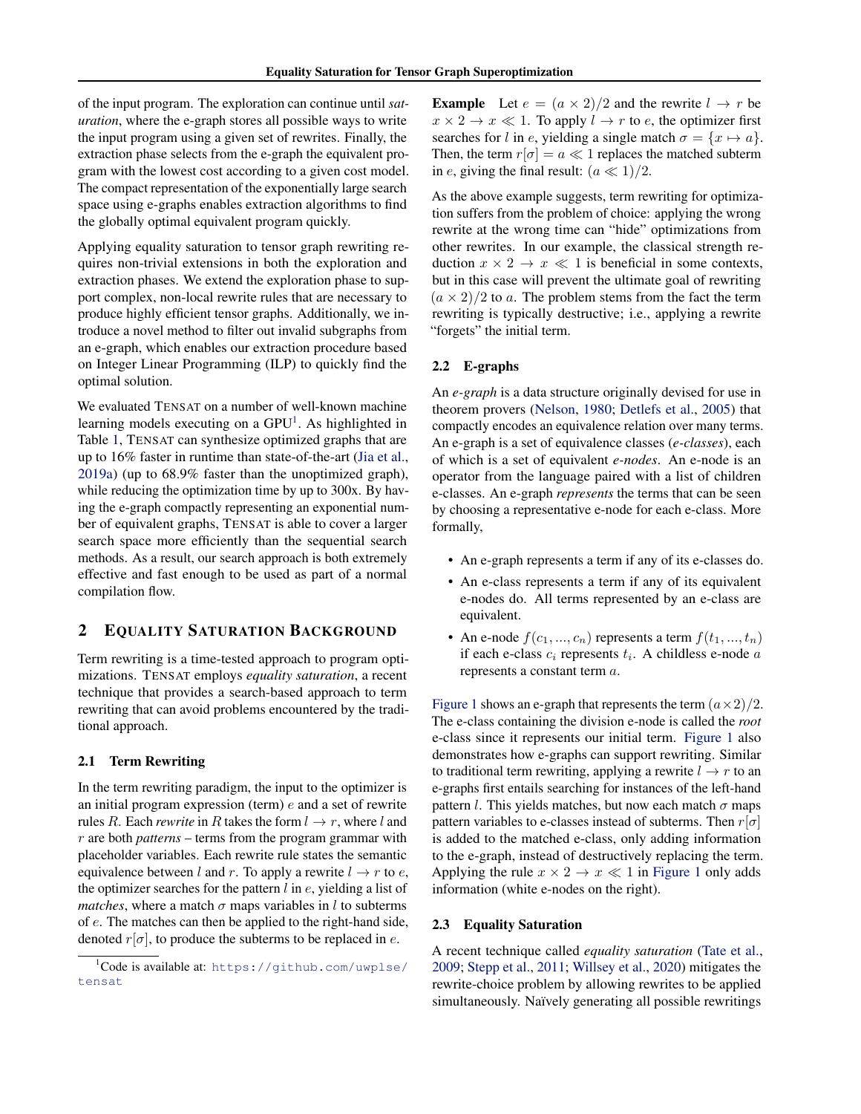of the input program. The exploration can continue until *saturation*, where the e-graph stores all possible ways to write the input program using a given set of rewrites. Finally, the extraction phase selects from the e-graph the equivalent program with the lowest cost according to a given cost model. The compact representation of the exponentially large search space using e-graphs enables extraction algorithms to find the globally optimal equivalent program quickly.

Applying equality saturation to tensor graph rewriting requires non-trivial extensions in both the exploration and extraction phases. We extend the exploration phase to support complex, non-local rewrite rules that are necessary to produce highly efficient tensor graphs. Additionally, we introduce a novel method to filter out invalid subgraphs from an e-graph, which enables our extraction procedure based on Integer Linear Programming (ILP) to quickly find the optimal solution.

We evaluated TENSAT on a number of well-known machine learning models executing on a  $GPU<sup>1</sup>$ . As highlighted in Table [1,](#page-0-0) TENSAT can synthesize optimized graphs that are up to 16% faster in runtime than state-of-the-art [\(Jia et al.,](#page-10-0) [2019a\)](#page-10-0) (up to 68.9% faster than the unoptimized graph), while reducing the optimization time by up to 300x. By having the e-graph compactly representing an exponential number of equivalent graphs, TENSAT is able to cover a larger search space more efficiently than the sequential search methods. As a result, our search approach is both extremely effective and fast enough to be used as part of a normal compilation flow.

## 2 EQUALITY SATURATION BACKGROUND

Term rewriting is a time-tested approach to program optimizations. TENSAT employs *equality saturation*, a recent technique that provides a search-based approach to term rewriting that can avoid problems encountered by the traditional approach.

### 2.1 Term Rewriting

In the term rewriting paradigm, the input to the optimizer is an initial program expression (term) e and a set of rewrite rules R. Each *rewrite* in R takes the form  $l \rightarrow r$ , where l and r are both *patterns* – terms from the program grammar with placeholder variables. Each rewrite rule states the semantic equivalence between l and r. To apply a rewrite  $l \rightarrow r$  to e, the optimizer searches for the pattern  $l$  in  $e$ , yielding a list of *matches*, where a match  $\sigma$  maps variables in l to subterms of e. The matches can then be applied to the right-hand side, denoted  $r[\sigma]$ , to produce the subterms to be replaced in e.

**Example** Let  $e = (a \times 2)/2$  and the rewrite  $l \rightarrow r$  be  $x \times 2 \rightarrow x \ll 1$ . To apply  $l \rightarrow r$  to e, the optimizer first searches for l in e, yielding a single match  $\sigma = \{x \mapsto a\}.$ Then, the term  $r[\sigma] = a \ll 1$  replaces the matched subterm in e, giving the final result:  $(a \ll 1)/2$ .

As the above example suggests, term rewriting for optimization suffers from the problem of choice: applying the wrong rewrite at the wrong time can "hide" optimizations from other rewrites. In our example, the classical strength reduction  $x \times 2 \rightarrow x \ll 1$  is beneficial in some contexts, but in this case will prevent the ultimate goal of rewriting  $(a \times 2)/2$  to a. The problem stems from the fact the term rewriting is typically destructive; i.e., applying a rewrite "forgets" the initial term.

#### 2.2 E-graphs

An *e-graph* is a data structure originally devised for use in theorem provers [\(Nelson,](#page-10-0) [1980;](#page-10-0) [Detlefs et al.,](#page-10-0) [2005\)](#page-10-0) that compactly encodes an equivalence relation over many terms. An e-graph is a set of equivalence classes (*e-classes*), each of which is a set of equivalent *e-nodes*. An e-node is an operator from the language paired with a list of children e-classes. An e-graph *represents* the terms that can be seen by choosing a representative e-node for each e-class. More formally,

- An e-graph represents a term if any of its e-classes do.
- An e-class represents a term if any of its equivalent e-nodes do. All terms represented by an e-class are equivalent.
- An e-node  $f(c_1, ..., c_n)$  represents a term  $f(t_1, ..., t_n)$ if each e-class  $c_i$  represents  $t_i$ . A childless e-node  $a$ represents a constant term a.

[Figure 1](#page-2-0) shows an e-graph that represents the term  $(a \times 2)/2$ . The e-class containing the division e-node is called the *root* e-class since it represents our initial term. [Figure 1](#page-2-0) also demonstrates how e-graphs can support rewriting. Similar to traditional term rewriting, applying a rewrite  $l \rightarrow r$  to an e-graphs first entails searching for instances of the left-hand pattern l. This yields matches, but now each match  $\sigma$  maps pattern variables to e-classes instead of subterms. Then  $r[\sigma]$ is added to the matched e-class, only adding information to the e-graph, instead of destructively replacing the term. Applying the rule  $x \times 2 \rightarrow x \ll 1$  in [Figure 1](#page-2-0) only adds information (white e-nodes on the right).

## 2.3 Equality Saturation

A recent technique called *equality saturation* [\(Tate et al.,](#page-11-0) [2009;](#page-11-0) [Stepp et al.,](#page-11-0) [2011;](#page-11-0) [Willsey et al.,](#page-11-0) [2020\)](#page-11-0) mitigates the rewrite-choice problem by allowing rewrites to be applied simultaneously. Naïvely generating all possible rewritings

<sup>1</sup>Code is available at: [https://github.com/uwplse/](https://github.com/uwplse/tensat) [tensat](https://github.com/uwplse/tensat)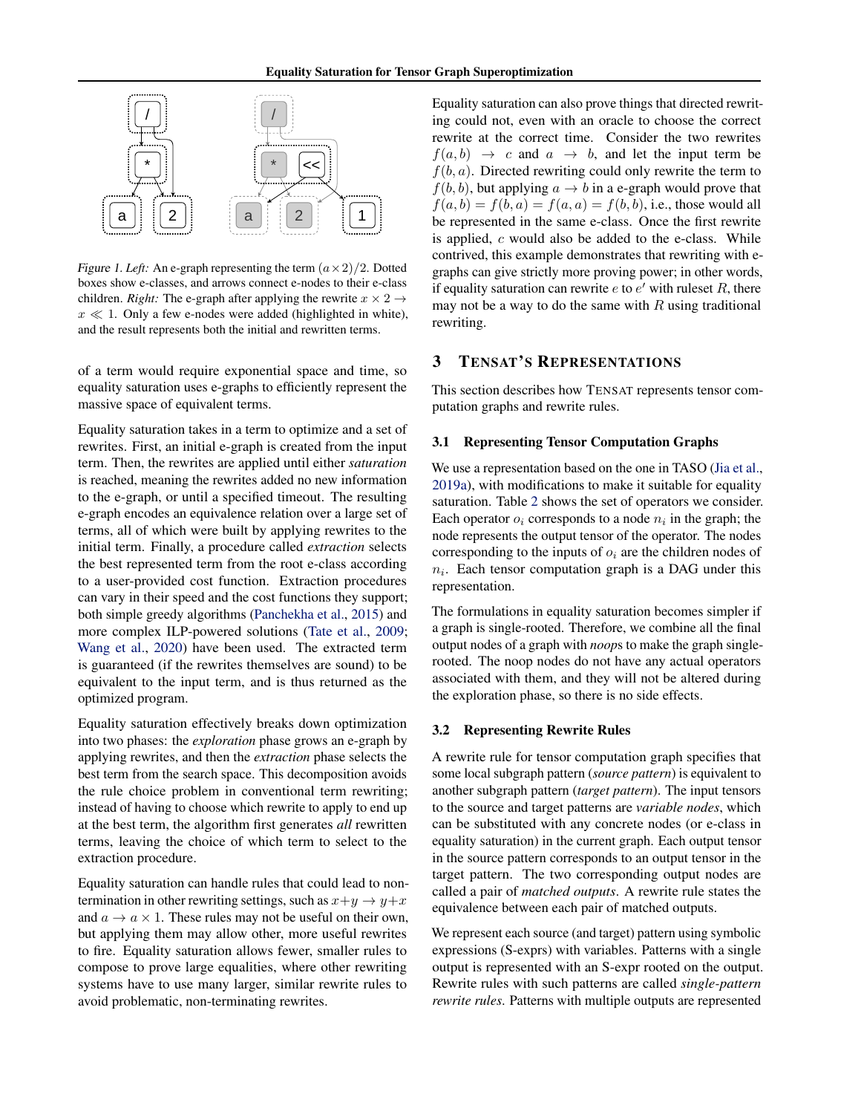<span id="page-2-0"></span>

Figure 1. Left: An e-graph representing the term  $(a \times 2)/2$ . Dotted boxes show e-classes, and arrows connect e-nodes to their e-class children. *Right:* The e-graph after applying the rewrite  $x \times 2 \rightarrow$  $x \ll 1$ . Only a few e-nodes were added (highlighted in white), and the result represents both the initial and rewritten terms.

of a term would require exponential space and time, so equality saturation uses e-graphs to efficiently represent the massive space of equivalent terms.

Equality saturation takes in a term to optimize and a set of rewrites. First, an initial e-graph is created from the input term. Then, the rewrites are applied until either *saturation* is reached, meaning the rewrites added no new information to the e-graph, or until a specified timeout. The resulting e-graph encodes an equivalence relation over a large set of terms, all of which were built by applying rewrites to the initial term. Finally, a procedure called *extraction* selects the best represented term from the root e-class according to a user-provided cost function. Extraction procedures can vary in their speed and the cost functions they support; both simple greedy algorithms [\(Panchekha et al.,](#page-10-0) [2015\)](#page-10-0) and more complex ILP-powered solutions [\(Tate et al.,](#page-11-0) [2009;](#page-11-0) [Wang et al.,](#page-11-0) [2020\)](#page-11-0) have been used. The extracted term is guaranteed (if the rewrites themselves are sound) to be equivalent to the input term, and is thus returned as the optimized program.

Equality saturation effectively breaks down optimization into two phases: the *exploration* phase grows an e-graph by applying rewrites, and then the *extraction* phase selects the best term from the search space. This decomposition avoids the rule choice problem in conventional term rewriting; instead of having to choose which rewrite to apply to end up at the best term, the algorithm first generates *all* rewritten terms, leaving the choice of which term to select to the extraction procedure.

Equality saturation can handle rules that could lead to nontermination in other rewriting settings, such as  $x+y \rightarrow y+x$ and  $a \to a \times 1$ . These rules may not be useful on their own, but applying them may allow other, more useful rewrites to fire. Equality saturation allows fewer, smaller rules to compose to prove large equalities, where other rewriting systems have to use many larger, similar rewrite rules to avoid problematic, non-terminating rewrites.

Equality saturation can also prove things that directed rewriting could not, even with an oracle to choose the correct rewrite at the correct time. Consider the two rewrites  $f(a, b) \rightarrow c$  and  $a \rightarrow b$ , and let the input term be  $f(b, a)$ . Directed rewriting could only rewrite the term to  $f(b, b)$ , but applying  $a \rightarrow b$  in a e-graph would prove that  $f(a, b) = f(b, a) = f(a, a) = f(b, b)$ , i.e., those would all be represented in the same e-class. Once the first rewrite is applied,  $c$  would also be added to the e-class. While contrived, this example demonstrates that rewriting with egraphs can give strictly more proving power; in other words, if equality saturation can rewrite  $e$  to  $e'$  with ruleset  $R$ , there may not be a way to do the same with  $R$  using traditional rewriting.

## 3 TENSAT'S REPRESENTATIONS

This section describes how TENSAT represents tensor computation graphs and rewrite rules.

#### 3.1 Representing Tensor Computation Graphs

We use a representation based on the one in TASO [\(Jia et al.,](#page-10-0) [2019a\)](#page-10-0), with modifications to make it suitable for equality saturation. Table [2](#page-3-0) shows the set of operators we consider. Each operator  $o_i$  corresponds to a node  $n_i$  in the graph; the node represents the output tensor of the operator. The nodes corresponding to the inputs of  $o_i$  are the children nodes of  $n_i$ . Each tensor computation graph is a DAG under this representation.

The formulations in equality saturation becomes simpler if a graph is single-rooted. Therefore, we combine all the final output nodes of a graph with *noop*s to make the graph singlerooted. The noop nodes do not have any actual operators associated with them, and they will not be altered during the exploration phase, so there is no side effects.

#### 3.2 Representing Rewrite Rules

A rewrite rule for tensor computation graph specifies that some local subgraph pattern (*source pattern*) is equivalent to another subgraph pattern (*target pattern*). The input tensors to the source and target patterns are *variable nodes*, which can be substituted with any concrete nodes (or e-class in equality saturation) in the current graph. Each output tensor in the source pattern corresponds to an output tensor in the target pattern. The two corresponding output nodes are called a pair of *matched outputs*. A rewrite rule states the equivalence between each pair of matched outputs.

We represent each source (and target) pattern using symbolic expressions (S-exprs) with variables. Patterns with a single output is represented with an S-expr rooted on the output. Rewrite rules with such patterns are called *single-pattern rewrite rules*. Patterns with multiple outputs are represented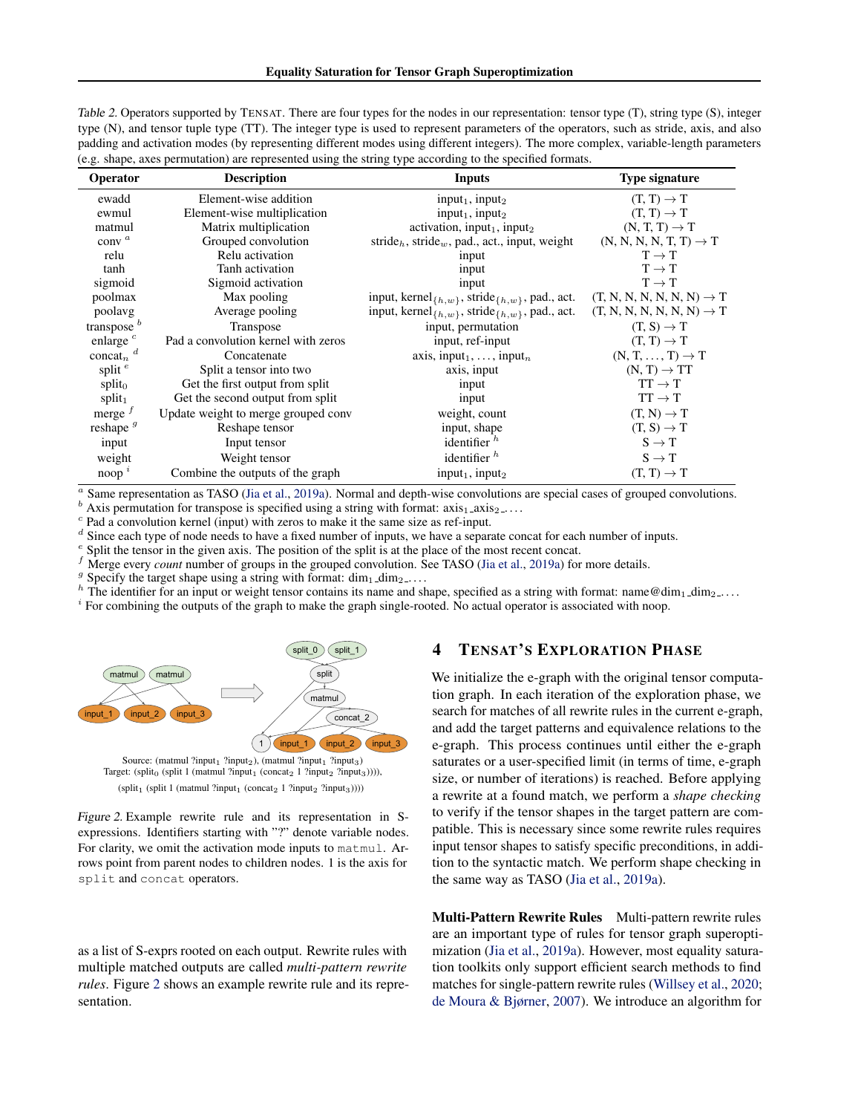<span id="page-3-0"></span>Table 2. Operators supported by TENSAT. There are four types for the nodes in our representation: tensor type (T), string type (S), integer type (N), and tensor tuple type (TT). The integer type is used to represent parameters of the operators, such as stride, axis, and also padding and activation modes (by representing different modes using different integers). The more complex, variable-length parameters (e.g. shape, axes permutation) are represented using the string type according to the specified formats.

| Operator                   | <b>Description</b><br>Inputs        |                                                                                                   | Type signature                        |
|----------------------------|-------------------------------------|---------------------------------------------------------------------------------------------------|---------------------------------------|
| ewadd                      | Element-wise addition               | input <sub>1</sub> , input <sub>2</sub>                                                           | $(T, T) \rightarrow T$                |
| ewmul                      | Element-wise multiplication         | $input_1$ , input <sub>2</sub>                                                                    | $(T, T) \rightarrow T$                |
| matmul                     | Matrix multiplication               | activation, input <sub>1</sub> , input <sub>2</sub>                                               | $(N, T, T) \rightarrow T$             |
| conv $a$                   | Grouped convolution                 | stride <sub>h</sub> , stride <sub>w</sub> , pad., act., input, weight                             | $(N, N, N, N, T, T) \rightarrow T$    |
| relu                       | Relu activation                     | input                                                                                             | $T \rightarrow T$                     |
| tanh                       | Tanh activation                     | input                                                                                             | $T \rightarrow T$                     |
| sigmoid                    | Sigmoid activation                  | input                                                                                             | $T \rightarrow T$                     |
| poolmax                    | Max pooling                         | input, kernel <sub>{<math>h, w</math>}</sub> , stride <sub>{<math>h, w</math>}</sub> , pad., act. | $(T, N, N, N, N, N, N) \rightarrow T$ |
| poolavg                    | Average pooling                     | input, kernel <sub>{h,w}</sub> , stride <sub>{h,w}</sub> , pad., act.                             | $(T, N, N, N, N, N, N) \rightarrow T$ |
| transpose $b$              | Transpose                           | input, permutation                                                                                | $(T, S) \rightarrow T$                |
| enlarge $\degree$          | Pad a convolution kernel with zeros | input, ref-input                                                                                  | $(T, T) \rightarrow T$                |
| concat <sub>n</sub> $^{d}$ | Concatenate                         | axis, input <sub>1</sub> , , input <sub>n</sub>                                                   | $(N, T, \ldots, T) \rightarrow T$     |
| split $e$                  | Split a tensor into two             | axis, input                                                                                       | $(N, T) \rightarrow TT$               |
| $split_0$                  | Get the first output from split     | input                                                                                             | $TT \rightarrow T$                    |
| $split_1$                  | Get the second output from split    | input                                                                                             | $TT \rightarrow T$                    |
| merge $^{\prime}$          | Update weight to merge grouped conv | weight, count                                                                                     | $(T, N) \rightarrow T$                |
| reshape $g$                | Reshape tensor                      | input, shape                                                                                      | $(T, S) \rightarrow T$                |
| input                      | Input tensor                        | identifier $h$                                                                                    | $S \rightarrow T$                     |
| weight                     | Weight tensor                       | identifier $h$                                                                                    | $S \rightarrow T$                     |
| noop $^i$                  | Combine the outputs of the graph    | input <sub>1</sub> , input <sub>2</sub>                                                           | $(T, T) \rightarrow T$                |

<sup>a</sup> Same representation as TASO [\(Jia et al.,](#page-10-0) [2019a\)](#page-10-0). Normal and depth-wise convolutions are special cases of grouped convolutions.

Axis permutation for transpose is specified using a string with format:  $axis_1$   $axis_2$ ....

<sup>c</sup> Pad a convolution kernel (input) with zeros to make it the same size as ref-input.

Since each type of node needs to have a fixed number of inputs, we have a separate concat for each number of inputs.

e Split the tensor in the given axis. The position of the split is at the place of the most recent concat.

Merge every *count* number of groups in the grouped convolution. See TASO [\(Jia et al.,](#page-10-0) [2019a\)](#page-10-0) for more details.

g Specify the target shape using a string with format:  $\dim_1 \dim_2 \dots$ 

 $h$  The identifier for an input or weight tensor contains its name and shape, specified as a string with format: name@dim<sub>1</sub>\_dim<sub>2</sub>....

<sup>i</sup> For combining the outputs of the graph to make the graph single-rooted. No actual operator is associated with noop.



Source: (matmul ?input<sub>1</sub> ?input<sub>2</sub>), (matmul ?input<sub>1</sub> ?input<sub>3</sub>) Target: (split<sub>0</sub> (split 1 (matmul ?input<sub>1</sub> (concat<sub>2</sub> 1 ?input<sub>2</sub> ?input<sub>3</sub>)))),  $(split_1 (split 1 (mathrm will ?input_1 (concat_2 1 ?input_2 ?input_3))))$ 

Figure 2. Example rewrite rule and its representation in Sexpressions. Identifiers starting with "?" denote variable nodes. For clarity, we omit the activation mode inputs to matmul. Arrows point from parent nodes to children nodes. 1 is the axis for split and concat operators.

as a list of S-exprs rooted on each output. Rewrite rules with multiple matched outputs are called *multi-pattern rewrite rules*. Figure 2 shows an example rewrite rule and its representation.

## 4 TENSAT'S EXPLORATION PHASE

We initialize the e-graph with the original tensor computation graph. In each iteration of the exploration phase, we search for matches of all rewrite rules in the current e-graph, and add the target patterns and equivalence relations to the e-graph. This process continues until either the e-graph saturates or a user-specified limit (in terms of time, e-graph size, or number of iterations) is reached. Before applying a rewrite at a found match, we perform a *shape checking* to verify if the tensor shapes in the target pattern are compatible. This is necessary since some rewrite rules requires input tensor shapes to satisfy specific preconditions, in addition to the syntactic match. We perform shape checking in the same way as TASO [\(Jia et al.,](#page-10-0) [2019a\)](#page-10-0).

Multi-Pattern Rewrite Rules Multi-pattern rewrite rules are an important type of rules for tensor graph superoptimization [\(Jia et al.,](#page-10-0) [2019a\)](#page-10-0). However, most equality saturation toolkits only support efficient search methods to find matches for single-pattern rewrite rules [\(Willsey et al.,](#page-11-0) [2020;](#page-11-0) [de Moura & Bjørner,](#page-10-0) [2007\)](#page-10-0). We introduce an algorithm for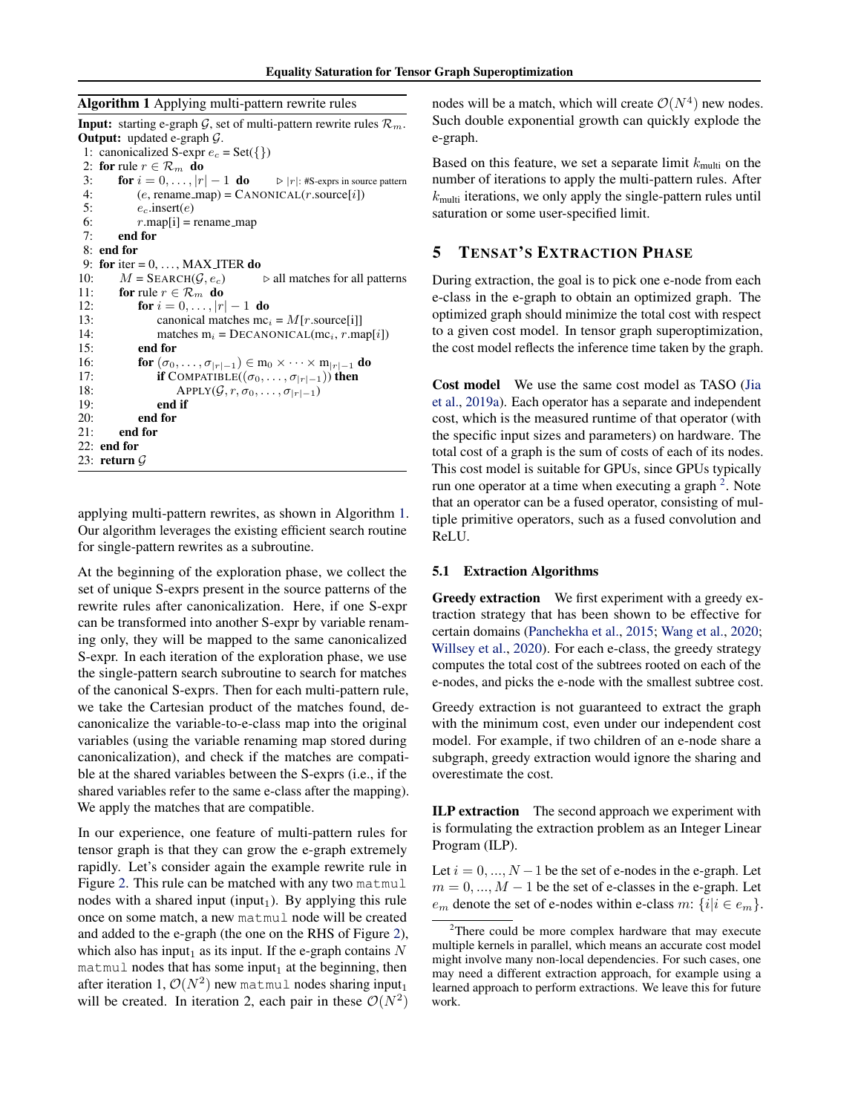<span id="page-4-0"></span>

|  | Algorithm 1 Applying multi-pattern rewrite rules |  |
|--|--------------------------------------------------|--|
|  |                                                  |  |

**Input:** starting e-graph  $G$ , set of multi-pattern rewrite rules  $\mathcal{R}_m$ . Output: updated e-graph G. 1: canonicalized S-expr  $e_c = \text{Set}(\{\})$ 2: for rule  $r \in \mathcal{R}_m$  do 3: **for**  $i = 0, \ldots, |r| - 1$  **do**  $\triangleright |r|$ : #S-exprs in source pattern 4:  $(e, \text{ rename\_map}) = \text{CANONICAL}(r \text{.source}[i])$ 5:  $e_c$ .insert( $e$ ) 6:  $r \cdot \text{map}[i] = \text{rename\_map}$ 7: end for 8: end for 9: for iter =  $0, \ldots,$  MAX\_ITER do 10:  $M = \text{SEARCH}(\mathcal{G}, e_c)$   $\Rightarrow$  all matches for all patterns 11: **for** rule  $r \in \mathcal{R}_m$  **do** 12: **for**  $i = 0, ..., |r| - 1$  **do** 13: canonical matches  $mc_i = M[r.source[i]]$ 14: matches  $m_i = DECANONICAL(mc_i, r.map[i])$ 15: end for 16: **for**  $(\sigma_0, \ldots, \sigma_{|r|-1}) \in m_0 \times \cdots \times m_{|r|-1}$  **do** 17: **if** COMPATIBLE $((\sigma_0, ..., \sigma_{|r|-1}))$  then<br>18: APPLY $(G, r, \sigma_0, ..., \sigma_{|r|-1})$ 18: APPLY( $\mathcal{G}, r, \sigma_0, \ldots, \sigma_{|r|-1}$ )<br>19: **end if** end if 20: end for 21: end for 22: end for 23: return G

applying multi-pattern rewrites, as shown in Algorithm 1. Our algorithm leverages the existing efficient search routine for single-pattern rewrites as a subroutine.

At the beginning of the exploration phase, we collect the set of unique S-exprs present in the source patterns of the rewrite rules after canonicalization. Here, if one S-expr can be transformed into another S-expr by variable renaming only, they will be mapped to the same canonicalized S-expr. In each iteration of the exploration phase, we use the single-pattern search subroutine to search for matches of the canonical S-exprs. Then for each multi-pattern rule, we take the Cartesian product of the matches found, decanonicalize the variable-to-e-class map into the original variables (using the variable renaming map stored during canonicalization), and check if the matches are compatible at the shared variables between the S-exprs (i.e., if the shared variables refer to the same e-class after the mapping). We apply the matches that are compatible.

In our experience, one feature of multi-pattern rules for tensor graph is that they can grow the e-graph extremely rapidly. Let's consider again the example rewrite rule in Figure [2.](#page-3-0) This rule can be matched with any two matmul nodes with a shared input (input<sub>1</sub>). By applying this rule once on some match, a new matmul node will be created and added to the e-graph (the one on the RHS of Figure [2\)](#page-3-0), which also has input<sub>1</sub> as its input. If the e-graph contains  $N$ matmul nodes that has some input<sub>1</sub> at the beginning, then after iteration 1,  $\mathcal{O}(N^2)$  new matmul nodes sharing input<sub>1</sub> will be created. In iteration 2, each pair in these  $\mathcal{O}(N^2)$ 

nodes will be a match, which will create  $\mathcal{O}(N^4)$  new nodes. Such double exponential growth can quickly explode the e-graph.

Based on this feature, we set a separate limit  $k_{\text{multi}}$  on the number of iterations to apply the multi-pattern rules. After  $k_{\text{multi}}$  iterations, we only apply the single-pattern rules until saturation or some user-specified limit.

## 5 TENSAT'S EXTRACTION PHASE

During extraction, the goal is to pick one e-node from each e-class in the e-graph to obtain an optimized graph. The optimized graph should minimize the total cost with respect to a given cost model. In tensor graph superoptimization, the cost model reflects the inference time taken by the graph.

Cost model We use the same cost model as TASO [\(Jia](#page-10-0) [et al.,](#page-10-0) [2019a\)](#page-10-0). Each operator has a separate and independent cost, which is the measured runtime of that operator (with the specific input sizes and parameters) on hardware. The total cost of a graph is the sum of costs of each of its nodes. This cost model is suitable for GPUs, since GPUs typically run one operator at a time when executing a graph  $2$ . Note that an operator can be a fused operator, consisting of multiple primitive operators, such as a fused convolution and ReLU.

#### 5.1 Extraction Algorithms

Greedy extraction We first experiment with a greedy extraction strategy that has been shown to be effective for certain domains [\(Panchekha et al.,](#page-10-0) [2015;](#page-10-0) [Wang et al.,](#page-11-0) [2020;](#page-11-0) [Willsey et al.,](#page-11-0) [2020\)](#page-11-0). For each e-class, the greedy strategy computes the total cost of the subtrees rooted on each of the e-nodes, and picks the e-node with the smallest subtree cost.

Greedy extraction is not guaranteed to extract the graph with the minimum cost, even under our independent cost model. For example, if two children of an e-node share a subgraph, greedy extraction would ignore the sharing and overestimate the cost.

ILP extraction The second approach we experiment with is formulating the extraction problem as an Integer Linear Program (ILP).

Let  $i = 0, ..., N - 1$  be the set of e-nodes in the e-graph. Let  $m = 0, \ldots, M - 1$  be the set of e-classes in the e-graph. Let  $e_m$  denote the set of e-nodes within e-class m:  $\{i|i \in e_m\}$ .

 $2$ There could be more complex hardware that may execute multiple kernels in parallel, which means an accurate cost model might involve many non-local dependencies. For such cases, one may need a different extraction approach, for example using a learned approach to perform extractions. We leave this for future work.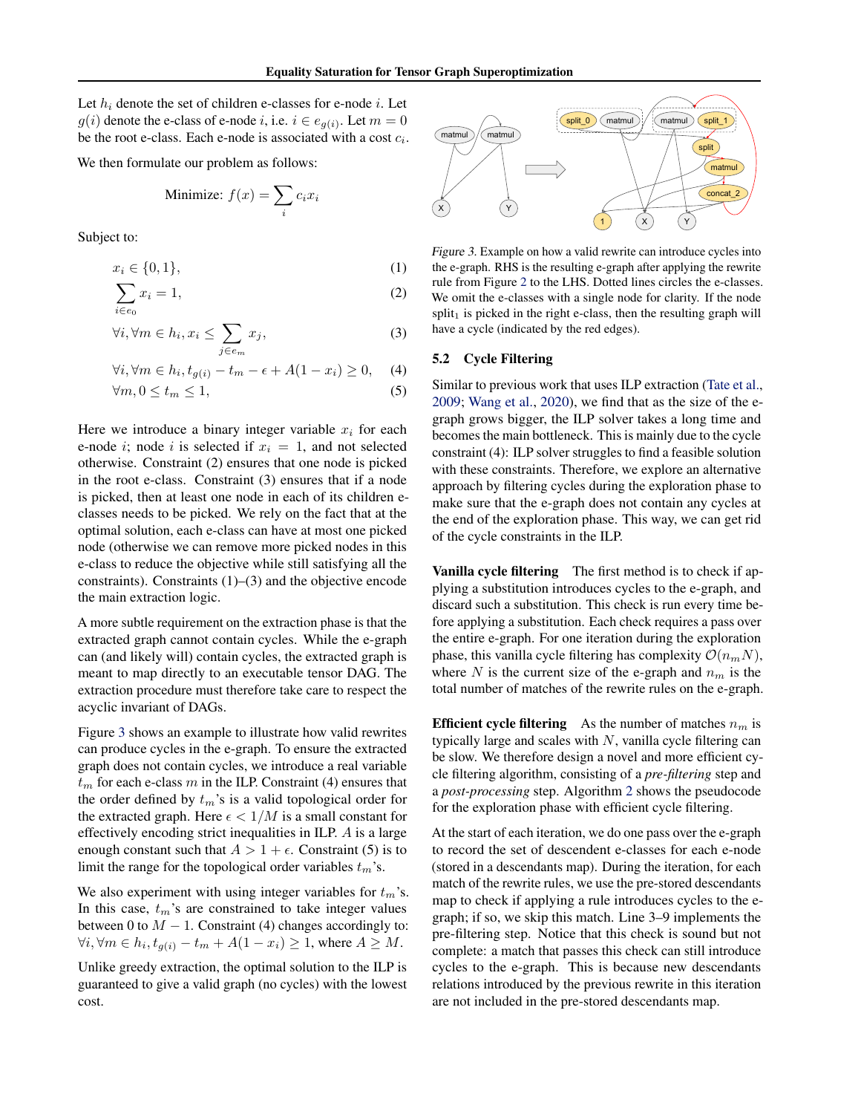<span id="page-5-0"></span>Let  $h_i$  denote the set of children e-classes for e-node  $i$ . Let  $g(i)$  denote the e-class of e-node i, i.e.  $i \in e_{g(i)}$ . Let  $m = 0$ be the root e-class. Each e-node is associated with a cost  $c_i$ .

We then formulate our problem as follows:

Minimize: 
$$
f(x) = \sum_i c_i x_i
$$

Subject to:

$$
x_i \in \{0, 1\},\tag{1}
$$

$$
\sum_{i \in e_0} x_i = 1,\tag{2}
$$

$$
\forall i, \forall m \in h_i, x_i \le \sum_{j \in e_m} x_j,\tag{3}
$$

$$
\forall i, \forall m \in h_i, t_{g(i)} - t_m - \epsilon + A(1 - x_i) \ge 0,\tag{4}
$$

$$
\forall m, 0 \le t_m \le 1,\tag{5}
$$

Here we introduce a binary integer variable  $x_i$  for each e-node *i*; node *i* is selected if  $x_i = 1$ , and not selected otherwise. Constraint (2) ensures that one node is picked in the root e-class. Constraint (3) ensures that if a node is picked, then at least one node in each of its children eclasses needs to be picked. We rely on the fact that at the optimal solution, each e-class can have at most one picked node (otherwise we can remove more picked nodes in this e-class to reduce the objective while still satisfying all the constraints). Constraints (1)–(3) and the objective encode the main extraction logic.

A more subtle requirement on the extraction phase is that the extracted graph cannot contain cycles. While the e-graph can (and likely will) contain cycles, the extracted graph is meant to map directly to an executable tensor DAG. The extraction procedure must therefore take care to respect the acyclic invariant of DAGs.

Figure 3 shows an example to illustrate how valid rewrites can produce cycles in the e-graph. To ensure the extracted graph does not contain cycles, we introduce a real variable  $t<sub>m</sub>$  for each e-class m in the ILP. Constraint (4) ensures that the order defined by  $t_m$ 's is a valid topological order for the extracted graph. Here  $\epsilon < 1/M$  is a small constant for effectively encoding strict inequalities in ILP. A is a large enough constant such that  $A > 1 + \epsilon$ . Constraint (5) is to limit the range for the topological order variables  $t_m$ 's.

We also experiment with using integer variables for  $t_m$ 's. In this case,  $t_m$ 's are constrained to take integer values between 0 to  $M - 1$ . Constraint (4) changes accordingly to:  $\forall i, \forall m \in h_i, t_{g(i)} - t_m + A(1 - x_i) \geq 1$ , where  $A \geq M$ .

Unlike greedy extraction, the optimal solution to the ILP is guaranteed to give a valid graph (no cycles) with the lowest cost.



Figure 3. Example on how a valid rewrite can introduce cycles into the e-graph. RHS is the resulting e-graph after applying the rewrite rule from Figure [2](#page-3-0) to the LHS. Dotted lines circles the e-classes. We omit the e-classes with a single node for clarity. If the node  $split<sub>1</sub>$  is picked in the right e-class, then the resulting graph will have a cycle (indicated by the red edges).

#### 5.2 Cycle Filtering

Similar to previous work that uses ILP extraction [\(Tate et al.,](#page-11-0) [2009;](#page-11-0) [Wang et al.,](#page-11-0) [2020\)](#page-11-0), we find that as the size of the egraph grows bigger, the ILP solver takes a long time and becomes the main bottleneck. This is mainly due to the cycle constraint (4): ILP solver struggles to find a feasible solution with these constraints. Therefore, we explore an alternative approach by filtering cycles during the exploration phase to make sure that the e-graph does not contain any cycles at the end of the exploration phase. This way, we can get rid of the cycle constraints in the ILP.

Vanilla cycle filtering The first method is to check if applying a substitution introduces cycles to the e-graph, and discard such a substitution. This check is run every time before applying a substitution. Each check requires a pass over the entire e-graph. For one iteration during the exploration phase, this vanilla cycle filtering has complexity  $\mathcal{O}(n_mN)$ , where N is the current size of the e-graph and  $n_m$  is the total number of matches of the rewrite rules on the e-graph.

**Efficient cycle filtering** As the number of matches  $n_m$  is typically large and scales with  $N$ , vanilla cycle filtering can be slow. We therefore design a novel and more efficient cycle filtering algorithm, consisting of a *pre-filtering* step and a *post-processing* step. Algorithm [2](#page-6-0) shows the pseudocode for the exploration phase with efficient cycle filtering.

At the start of each iteration, we do one pass over the e-graph to record the set of descendent e-classes for each e-node (stored in a descendants map). During the iteration, for each match of the rewrite rules, we use the pre-stored descendants map to check if applying a rule introduces cycles to the egraph; if so, we skip this match. Line 3–9 implements the pre-filtering step. Notice that this check is sound but not complete: a match that passes this check can still introduce cycles to the e-graph. This is because new descendants relations introduced by the previous rewrite in this iteration are not included in the pre-stored descendants map.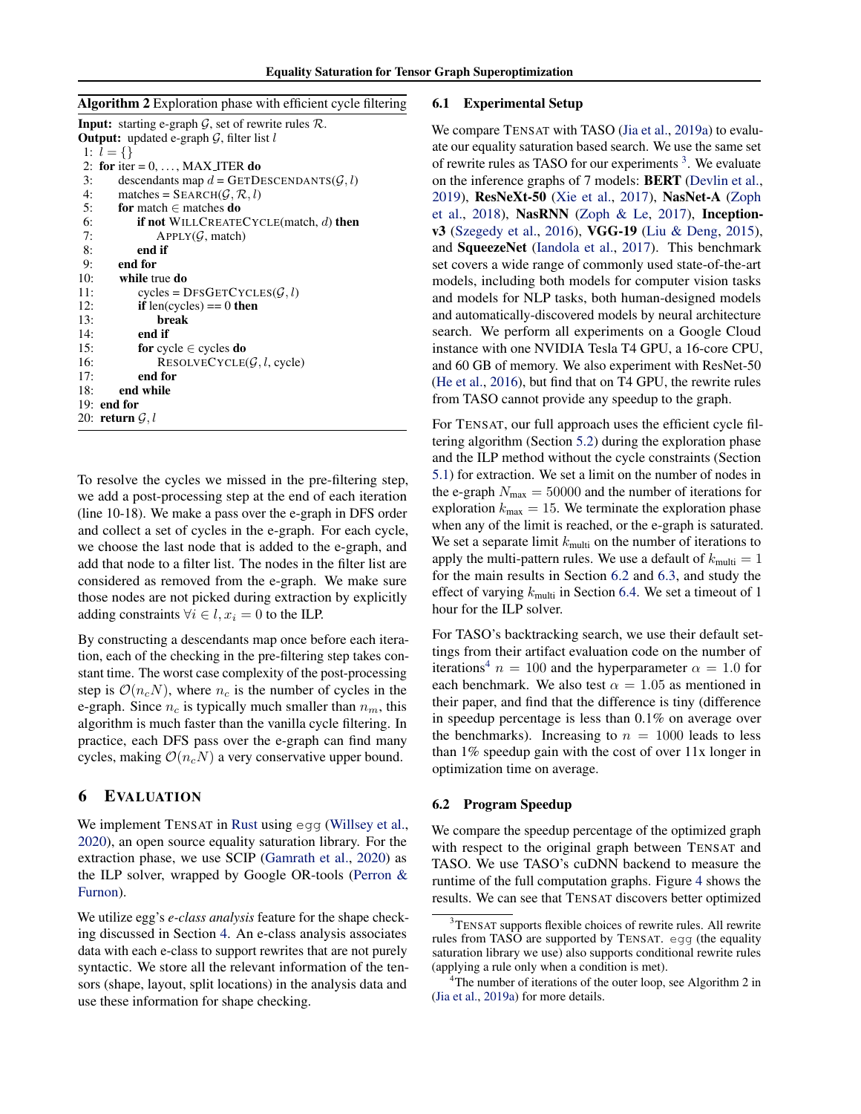<span id="page-6-0"></span>

| Algorithm 2 Exploration phase with efficient cycle filtering |  |  |  |  |
|--------------------------------------------------------------|--|--|--|--|
|                                                              |  |  |  |  |

| <b>Input:</b> starting e-graph $\mathcal{G}$ , set of rewrite rules $\mathcal{R}$ . |
|-------------------------------------------------------------------------------------|
| <b>Output:</b> updated e-graph $\mathcal{G}$ , filter list l                        |
| 1: $l = \{\}\$                                                                      |
| 2: for iter = $0, \ldots, MAX\_ITER$ do                                             |
| descendants map $d = \text{GETDESCENDANTS}(\mathcal{G}, l)$<br>3:                   |
| matches = $SEARCH(G, R, l)$<br>4:                                                   |
| 5:<br>for match $\in$ matches do                                                    |
| 6:<br><b>if not</b> WILLCREATECYCLE(match, $d$ ) then                               |
| 7:<br>APPLY(G, match)                                                               |
| 8:<br>end if                                                                        |
| end for<br>9:                                                                       |
| 10:<br>while true do                                                                |
| $cycles = DFSGETCYCLES(G, l)$<br>11:                                                |
| 12:<br><b>if</b> len(cycles) == 0 <b>then</b>                                       |
| break<br>13:                                                                        |
| 14:<br>end if                                                                       |
| 15:<br>for cycle $\in$ cycles do                                                    |
| 16:<br>RESOLVECYCLE $(\mathcal{G}, l, \text{cycle})$                                |
| end for<br>17:                                                                      |
| 18:<br>end while                                                                    |
| $19:$ end for                                                                       |
| 20: return $\mathcal{G}, l$                                                         |

To resolve the cycles we missed in the pre-filtering step, we add a post-processing step at the end of each iteration (line 10-18). We make a pass over the e-graph in DFS order and collect a set of cycles in the e-graph. For each cycle, we choose the last node that is added to the e-graph, and add that node to a filter list. The nodes in the filter list are considered as removed from the e-graph. We make sure those nodes are not picked during extraction by explicitly adding constraints  $\forall i \in \mathcal{l}, x_i = 0$  to the ILP.

By constructing a descendants map once before each iteration, each of the checking in the pre-filtering step takes constant time. The worst case complexity of the post-processing step is  $\mathcal{O}(n_cN)$ , where  $n_c$  is the number of cycles in the e-graph. Since  $n_c$  is typically much smaller than  $n_m$ , this algorithm is much faster than the vanilla cycle filtering. In practice, each DFS pass over the e-graph can find many cycles, making  $\mathcal{O}(n_cN)$  a very conservative upper bound.

### 6 EVALUATION

We implement TENSAT in [Rust](#page-11-0) using egg [\(Willsey et al.,](#page-11-0) [2020\)](#page-11-0), an open source equality saturation library. For the extraction phase, we use SCIP [\(Gamrath et al.,](#page-10-0) [2020\)](#page-10-0) as the ILP solver, wrapped by Google OR-tools [\(Perron &](#page-10-0) [Furnon\)](#page-10-0).

We utilize egg's *e-class analysis* feature for the shape checking discussed in Section [4.](#page-3-0) An e-class analysis associates data with each e-class to support rewrites that are not purely syntactic. We store all the relevant information of the tensors (shape, layout, split locations) in the analysis data and use these information for shape checking.

#### 6.1 Experimental Setup

We compare TENSAT with TASO [\(Jia et al.,](#page-10-0) [2019a\)](#page-10-0) to evaluate our equality saturation based search. We use the same set of rewrite rules as TASO for our experiments<sup>3</sup>. We evaluate on the inference graphs of 7 models: BERT [\(Devlin et al.,](#page-10-0) [2019\)](#page-10-0), ResNeXt-50 [\(Xie et al.,](#page-11-0) [2017\)](#page-11-0), NasNet-A [\(Zoph](#page-11-0) [et al.,](#page-11-0) [2018\)](#page-11-0), NasRNN [\(Zoph & Le,](#page-11-0) [2017\)](#page-11-0), Inceptionv3 [\(Szegedy et al.,](#page-11-0) [2016\)](#page-11-0), VGG-19 [\(Liu & Deng,](#page-10-0) [2015\)](#page-10-0), and SqueezeNet [\(Iandola et al.,](#page-10-0) [2017\)](#page-10-0). This benchmark set covers a wide range of commonly used state-of-the-art models, including both models for computer vision tasks and models for NLP tasks, both human-designed models and automatically-discovered models by neural architecture search. We perform all experiments on a Google Cloud instance with one NVIDIA Tesla T4 GPU, a 16-core CPU, and 60 GB of memory. We also experiment with ResNet-50 [\(He et al.,](#page-10-0) [2016\)](#page-10-0), but find that on T4 GPU, the rewrite rules from TASO cannot provide any speedup to the graph.

For TENSAT, our full approach uses the efficient cycle filtering algorithm (Section [5.2\)](#page-5-0) during the exploration phase and the ILP method without the cycle constraints (Section [5.1\)](#page-4-0) for extraction. We set a limit on the number of nodes in the e-graph  $N_{\text{max}} = 50000$  and the number of iterations for exploration  $k_{\text{max}} = 15$ . We terminate the exploration phase when any of the limit is reached, or the e-graph is saturated. We set a separate limit  $k_{\text{multi}}$  on the number of iterations to apply the multi-pattern rules. We use a default of  $k_{\text{multi}} = 1$ for the main results in Section 6.2 and [6.3,](#page-7-0) and study the effect of varying  $k_{\text{multi}}$  in Section [6.4.](#page-7-0) We set a timeout of 1 hour for the ILP solver.

For TASO's backtracking search, we use their default settings from their artifact evaluation code on the number of iterations<sup>4</sup>  $n = 100$  and the hyperparameter  $\alpha = 1.0$  for each benchmark. We also test  $\alpha = 1.05$  as mentioned in their paper, and find that the difference is tiny (difference in speedup percentage is less than 0.1% on average over the benchmarks). Increasing to  $n = 1000$  leads to less than 1% speedup gain with the cost of over 11x longer in optimization time on average.

#### 6.2 Program Speedup

We compare the speedup percentage of the optimized graph with respect to the original graph between TENSAT and TASO. We use TASO's cuDNN backend to measure the runtime of the full computation graphs. Figure [4](#page-7-0) shows the results. We can see that TENSAT discovers better optimized

<sup>&</sup>lt;sup>3</sup>TENSAT supports flexible choices of rewrite rules. All rewrite rules from TASO are supported by TENSAT. egg (the equality saturation library we use) also supports conditional rewrite rules (applying a rule only when a condition is met).

 $4$ The number of iterations of the outer loop, see Algorithm 2 in [\(Jia et al.,](#page-10-0) [2019a\)](#page-10-0) for more details.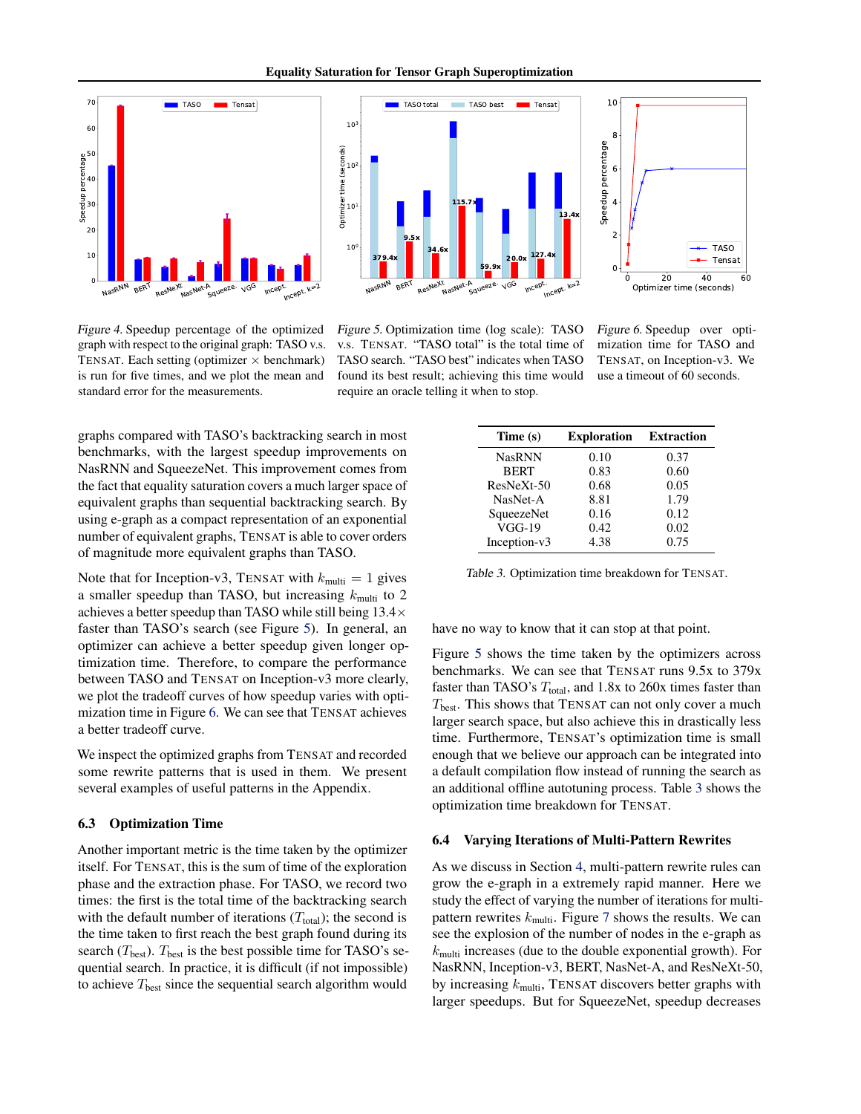Equality Saturation for Tensor Graph Superoptimization

<span id="page-7-0"></span>



Figure 4. Speedup percentage of the optimized graph with respect to the original graph: TASO v.s. TENSAT. Each setting (optimizer  $\times$  benchmark) is run for five times, and we plot the mean and standard error for the measurements.

Figure 5. Optimization time (log scale): TASO v.s. TENSAT. "TASO total" is the total time of TASO search. "TASO best" indicates when TASO found its best result; achieving this time would require an oracle telling it when to stop.



Figure 6. Speedup over optimization time for TASO and TENSAT, on Inception-v3. We use a timeout of 60 seconds.

graphs compared with TASO's backtracking search in most benchmarks, with the largest speedup improvements on NasRNN and SqueezeNet. This improvement comes from the fact that equality saturation covers a much larger space of equivalent graphs than sequential backtracking search. By using e-graph as a compact representation of an exponential number of equivalent graphs, TENSAT is able to cover orders of magnitude more equivalent graphs than TASO.

Note that for Inception-v3, TENSAT with  $k_{\text{multi}} = 1$  gives a smaller speedup than TASO, but increasing  $k_{\text{multi}}$  to 2 achieves a better speedup than TASO while still being  $13.4\times$ faster than TASO's search (see Figure 5). In general, an optimizer can achieve a better speedup given longer optimization time. Therefore, to compare the performance between TASO and TENSAT on Inception-v3 more clearly, we plot the tradeoff curves of how speedup varies with optimization time in Figure 6. We can see that TENSAT achieves a better tradeoff curve.

We inspect the optimized graphs from TENSAT and recorded some rewrite patterns that is used in them. We present several examples of useful patterns in the Appendix.

#### 6.3 Optimization Time

Another important metric is the time taken by the optimizer itself. For TENSAT, this is the sum of time of the exploration phase and the extraction phase. For TASO, we record two times: the first is the total time of the backtracking search with the default number of iterations  $(T<sub>total</sub>)$ ; the second is the time taken to first reach the best graph found during its search ( $T_{\text{best}}$ ).  $T_{\text{best}}$  is the best possible time for TASO's sequential search. In practice, it is difficult (if not impossible) to achieve  $T_{\text{best}}$  since the sequential search algorithm would

| Time (s)      | <b>Exploration</b> | <b>Extraction</b> |
|---------------|--------------------|-------------------|
| <b>NasRNN</b> | 0.10               | 0.37              |
| <b>BERT</b>   | 0.83               | 0.60              |
| ResNeXt-50    | 0.68               | 0.05              |
| NasNet-A      | 8.81               | 1.79              |
| SqueezeNet    | 0.16               | 0.12              |
| $VGG-19$      | 0.42               | 0.02              |
| Inception-v3  | 4.38               | 0.75              |

Table 3. Optimization time breakdown for TENSAT.

have no way to know that it can stop at that point.

Figure 5 shows the time taken by the optimizers across benchmarks. We can see that TENSAT runs 9.5x to 379x faster than TASO's  $T_{total}$ , and 1.8x to 260x times faster than  $T_{\text{best}}$ . This shows that TENSAT can not only cover a much larger search space, but also achieve this in drastically less time. Furthermore, TENSAT's optimization time is small enough that we believe our approach can be integrated into a default compilation flow instead of running the search as an additional offline autotuning process. Table 3 shows the optimization time breakdown for TENSAT.

#### 6.4 Varying Iterations of Multi-Pattern Rewrites

As we discuss in Section [4,](#page-3-0) multi-pattern rewrite rules can grow the e-graph in a extremely rapid manner. Here we study the effect of varying the number of iterations for multipattern rewrites  $k_{\text{multi}}$ . Figure [7](#page-8-0) shows the results. We can see the explosion of the number of nodes in the e-graph as  $k<sub>multi</sub>$  increases (due to the double exponential growth). For NasRNN, Inception-v3, BERT, NasNet-A, and ResNeXt-50, by increasing  $k_{\text{multi}}$ , TENSAT discovers better graphs with larger speedups. But for SqueezeNet, speedup decreases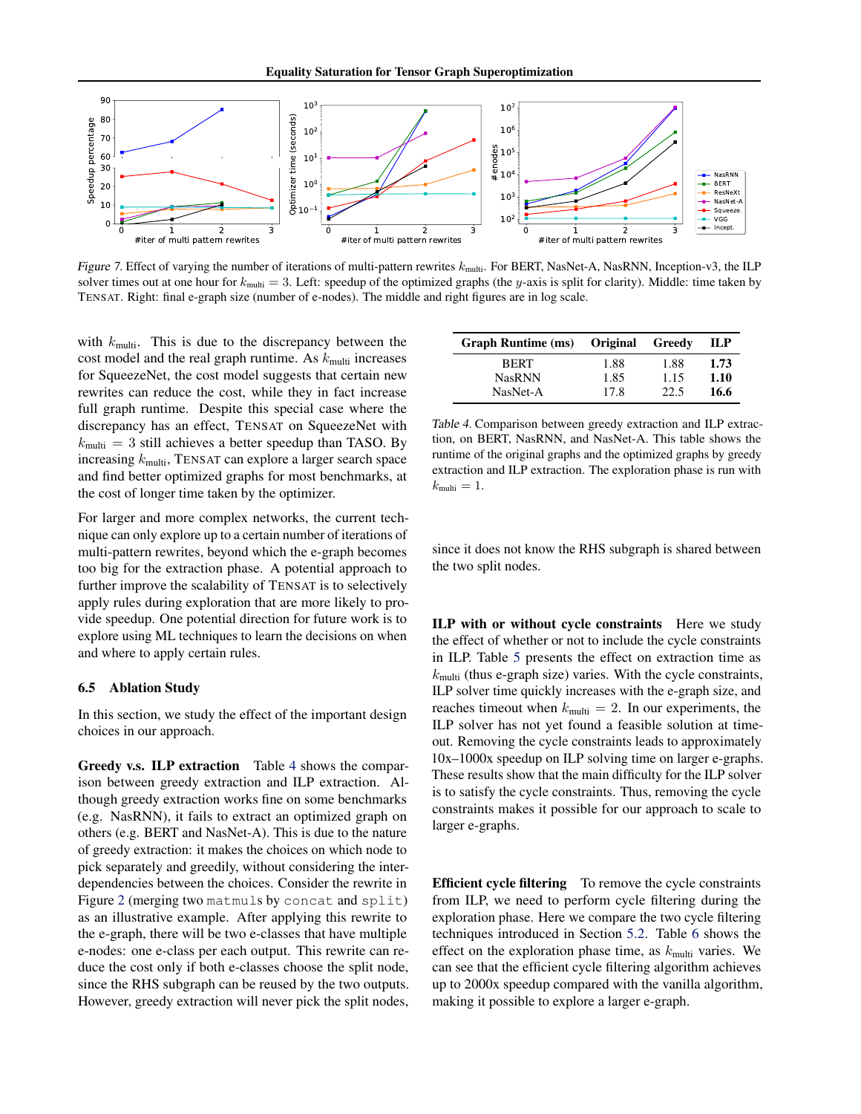<span id="page-8-0"></span>

Figure 7. Effect of varying the number of iterations of multi-pattern rewrites  $k_{\text{multi}}$ . For BERT, NasNet-A, NasRNN, Inception-v3, the ILP solver times out at one hour for  $k_{\text{multi}} = 3$ . Left: speedup of the optimized graphs (the y-axis is split for clarity). Middle: time taken by TENSAT. Right: final e-graph size (number of e-nodes). The middle and right figures are in log scale.

with  $k_{\text{multi}}$ . This is due to the discrepancy between the cost model and the real graph runtime. As  $k_{\text{multi}}$  increases for SqueezeNet, the cost model suggests that certain new rewrites can reduce the cost, while they in fact increase full graph runtime. Despite this special case where the discrepancy has an effect, TENSAT on SqueezeNet with  $k_{\text{multi}} = 3$  still achieves a better speedup than TASO. By increasing  $k_{\text{multi}}$ , TENSAT can explore a larger search space and find better optimized graphs for most benchmarks, at the cost of longer time taken by the optimizer.

For larger and more complex networks, the current technique can only explore up to a certain number of iterations of multi-pattern rewrites, beyond which the e-graph becomes too big for the extraction phase. A potential approach to further improve the scalability of TENSAT is to selectively apply rules during exploration that are more likely to provide speedup. One potential direction for future work is to explore using ML techniques to learn the decisions on when and where to apply certain rules.

#### 6.5 Ablation Study

In this section, we study the effect of the important design choices in our approach.

Greedy v.s. ILP extraction Table 4 shows the comparison between greedy extraction and ILP extraction. Although greedy extraction works fine on some benchmarks (e.g. NasRNN), it fails to extract an optimized graph on others (e.g. BERT and NasNet-A). This is due to the nature of greedy extraction: it makes the choices on which node to pick separately and greedily, without considering the interdependencies between the choices. Consider the rewrite in Figure [2](#page-3-0) (merging two matmuls by concat and split) as an illustrative example. After applying this rewrite to the e-graph, there will be two e-classes that have multiple e-nodes: one e-class per each output. This rewrite can reduce the cost only if both e-classes choose the split node, since the RHS subgraph can be reused by the two outputs. However, greedy extraction will never pick the split nodes,

| <b>Graph Runtime (ms)</b> | Original | Greedy | ПР   |
|---------------------------|----------|--------|------|
| <b>BERT</b>               | 1.88     | 1.88   | 1.73 |
| <b>NasRNN</b>             | 1.85     | 1.15   | 1.10 |
| NasNet-A                  | 17.8     | 22.5   | 16.6 |

Table 4. Comparison between greedy extraction and ILP extraction, on BERT, NasRNN, and NasNet-A. This table shows the runtime of the original graphs and the optimized graphs by greedy extraction and ILP extraction. The exploration phase is run with  $k_{\text{multi}} = 1.$ 

since it does not know the RHS subgraph is shared between the two split nodes.

ILP with or without cycle constraints Here we study the effect of whether or not to include the cycle constraints in ILP. Table [5](#page-9-0) presents the effect on extraction time as  $k<sub>multi</sub>$  (thus e-graph size) varies. With the cycle constraints, ILP solver time quickly increases with the e-graph size, and reaches timeout when  $k_{\text{multi}} = 2$ . In our experiments, the ILP solver has not yet found a feasible solution at timeout. Removing the cycle constraints leads to approximately 10x–1000x speedup on ILP solving time on larger e-graphs. These results show that the main difficulty for the ILP solver is to satisfy the cycle constraints. Thus, removing the cycle constraints makes it possible for our approach to scale to larger e-graphs.

Efficient cycle filtering To remove the cycle constraints from ILP, we need to perform cycle filtering during the exploration phase. Here we compare the two cycle filtering techniques introduced in Section [5.2.](#page-5-0) Table [6](#page-9-0) shows the effect on the exploration phase time, as  $k_{\text{multi}}$  varies. We can see that the efficient cycle filtering algorithm achieves up to 2000x speedup compared with the vanilla algorithm, making it possible to explore a larger e-graph.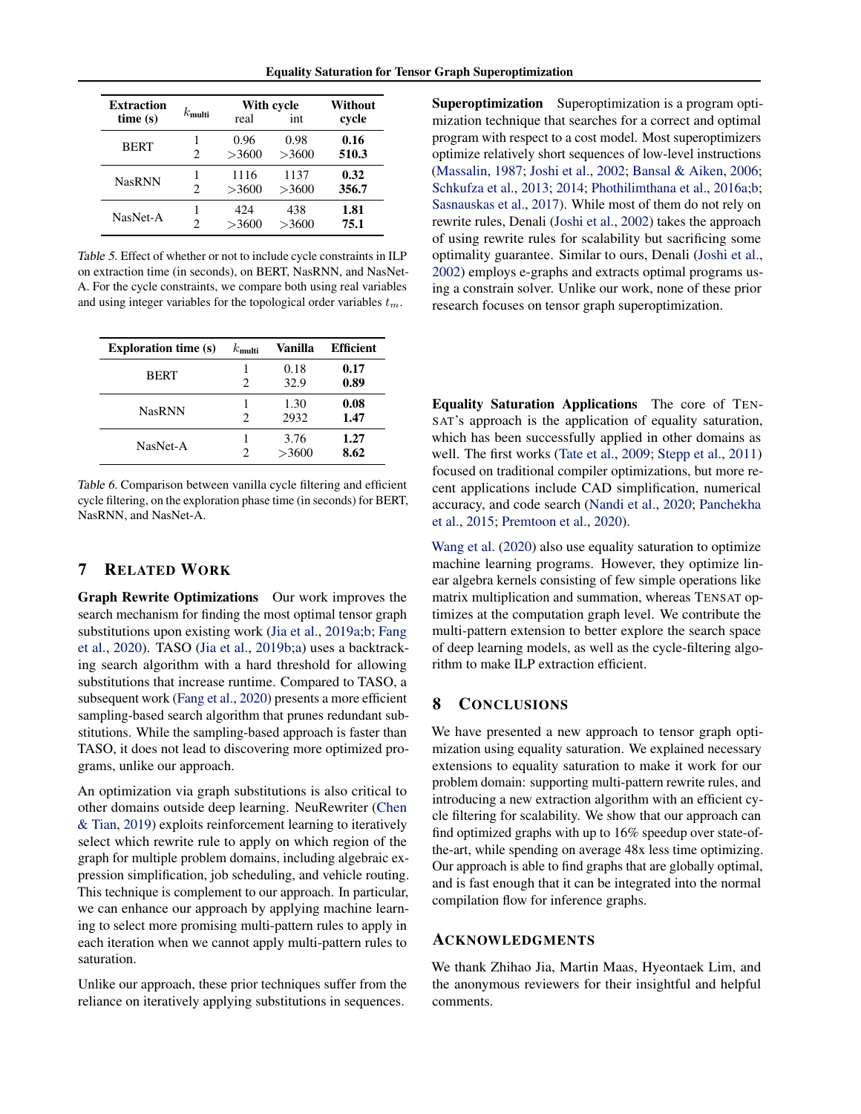<span id="page-9-0"></span>

| <b>Extraction</b> |                 | With cycle |       | Without |
|-------------------|-----------------|------------|-------|---------|
| time(s)           | $k_{\rm multi}$ | real       | int   | cycle   |
|                   |                 | 0.96       | 0.98  | 0.16    |
| <b>BERT</b>       | 2               | >3600      | >3600 | 510.3   |
| <b>NasRNN</b>     |                 | 1116       | 1137  | 0.32    |
|                   | 2               | >3600      | >3600 | 356.7   |
|                   |                 | 424        | 438   | 1.81    |
| NasNet-A          | 2               | >3600      | >3600 | 75.1    |

Table 5. Effect of whether or not to include cycle constraints in ILP on extraction time (in seconds), on BERT, NasRNN, and NasNet-A. For the cycle constraints, we compare both using real variables and using integer variables for the topological order variables  $t_m$ .

| <b>Exploration time (s)</b> | $k_{\rm multi}$ | Vanilla       | <b>Efficient</b> |
|-----------------------------|-----------------|---------------|------------------|
| <b>BERT</b>                 | 2               | 0.18<br>32.9  | 0.17<br>0.89     |
| <b>NasRNN</b>               | 2               | 1.30<br>2932  | 0.08<br>1.47     |
| NasNet-A                    | 2               | 3.76<br>>3600 | 1.27<br>8.62     |

Table 6. Comparison between vanilla cycle filtering and efficient cycle filtering, on the exploration phase time (in seconds) for BERT, NasRNN, and NasNet-A.

## 7 RELATED WORK

Graph Rewrite Optimizations Our work improves the search mechanism for finding the most optimal tensor graph substitutions upon existing work [\(Jia et al.,](#page-10-0) [2019a;b;](#page-10-0) [Fang](#page-10-0) [et al.,](#page-10-0) [2020\)](#page-10-0). TASO [\(Jia et al.,](#page-10-0) [2019b;a\)](#page-10-0) uses a backtracking search algorithm with a hard threshold for allowing substitutions that increase runtime. Compared to TASO, a subsequent work [\(Fang et al.,](#page-10-0) [2020\)](#page-10-0) presents a more efficient sampling-based search algorithm that prunes redundant substitutions. While the sampling-based approach is faster than TASO, it does not lead to discovering more optimized programs, unlike our approach.

An optimization via graph substitutions is also critical to other domains outside deep learning. NeuRewriter [\(Chen](#page-10-0) [& Tian,](#page-10-0) [2019\)](#page-10-0) exploits reinforcement learning to iteratively select which rewrite rule to apply on which region of the graph for multiple problem domains, including algebraic expression simplification, job scheduling, and vehicle routing. This technique is complement to our approach. In particular, we can enhance our approach by applying machine learning to select more promising multi-pattern rules to apply in each iteration when we cannot apply multi-pattern rules to saturation.

Unlike our approach, these prior techniques suffer from the reliance on iteratively applying substitutions in sequences.

Superoptimization Superoptimization is a program optimization technique that searches for a correct and optimal program with respect to a cost model. Most superoptimizers optimize relatively short sequences of low-level instructions [\(Massalin,](#page-10-0) [1987;](#page-10-0) [Joshi et al.,](#page-10-0) [2002;](#page-10-0) [Bansal & Aiken,](#page-10-0) [2006;](#page-10-0) [Schkufza et al.,](#page-11-0) [2013;](#page-11-0) [2014;](#page-11-0) [Phothilimthana et al.,](#page-10-0) [2016a;b;](#page-10-0) [Sasnauskas et al.,](#page-11-0) [2017\)](#page-11-0). While most of them do not rely on rewrite rules, Denali [\(Joshi et al.,](#page-10-0) [2002\)](#page-10-0) takes the approach of using rewrite rules for scalability but sacrificing some optimality guarantee. Similar to ours, Denali [\(Joshi et al.,](#page-10-0) [2002\)](#page-10-0) employs e-graphs and extracts optimal programs using a constrain solver. Unlike our work, none of these prior research focuses on tensor graph superoptimization.

Equality Saturation Applications The core of TEN-SAT's approach is the application of equality saturation, which has been successfully applied in other domains as well. The first works [\(Tate et al.,](#page-11-0) [2009;](#page-11-0) [Stepp et al.,](#page-11-0) [2011\)](#page-11-0) focused on traditional compiler optimizations, but more recent applications include CAD simplification, numerical accuracy, and code search [\(Nandi et al.,](#page-10-0) [2020;](#page-10-0) [Panchekha](#page-10-0) [et al.,](#page-10-0) [2015;](#page-10-0) [Premtoon et al.,](#page-10-0) [2020\)](#page-10-0).

[Wang et al.](#page-11-0) [\(2020\)](#page-11-0) also use equality saturation to optimize machine learning programs. However, they optimize linear algebra kernels consisting of few simple operations like matrix multiplication and summation, whereas TENSAT optimizes at the computation graph level. We contribute the multi-pattern extension to better explore the search space of deep learning models, as well as the cycle-filtering algorithm to make ILP extraction efficient.

## 8 CONCLUSIONS

We have presented a new approach to tensor graph optimization using equality saturation. We explained necessary extensions to equality saturation to make it work for our problem domain: supporting multi-pattern rewrite rules, and introducing a new extraction algorithm with an efficient cycle filtering for scalability. We show that our approach can find optimized graphs with up to 16% speedup over state-ofthe-art, while spending on average 48x less time optimizing. Our approach is able to find graphs that are globally optimal, and is fast enough that it can be integrated into the normal compilation flow for inference graphs.

#### ACKNOWLEDGMENTS

We thank Zhihao Jia, Martin Maas, Hyeontaek Lim, and the anonymous reviewers for their insightful and helpful comments.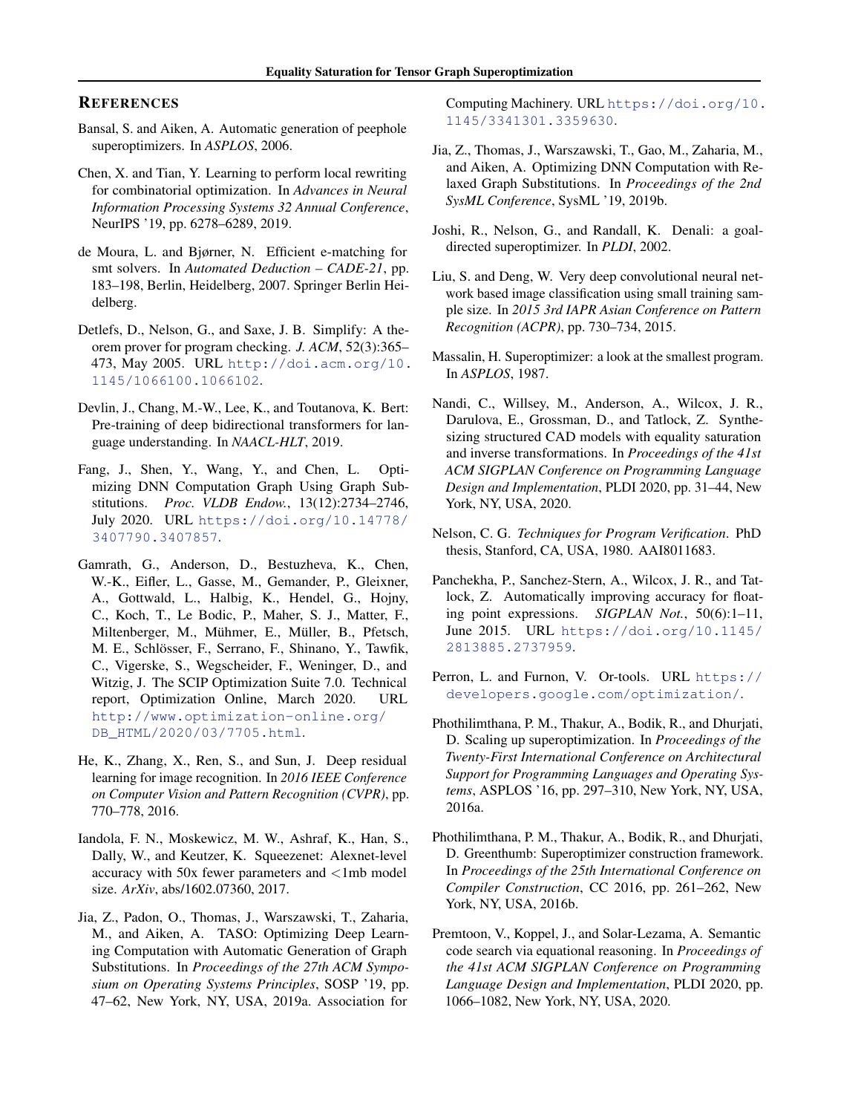## <span id="page-10-0"></span>**REFERENCES**

- Bansal, S. and Aiken, A. Automatic generation of peephole superoptimizers. In *ASPLOS*, 2006.
- Chen, X. and Tian, Y. Learning to perform local rewriting for combinatorial optimization. In *Advances in Neural Information Processing Systems 32 Annual Conference*, NeurIPS '19, pp. 6278–6289, 2019.
- de Moura, L. and Bjørner, N. Efficient e-matching for smt solvers. In *Automated Deduction – CADE-21*, pp. 183–198, Berlin, Heidelberg, 2007. Springer Berlin Heidelberg.
- Detlefs, D., Nelson, G., and Saxe, J. B. Simplify: A theorem prover for program checking. *J. ACM*, 52(3):365– 473, May 2005. URL [http://doi.acm.org/10.](http://doi.acm.org/10.1145/1066100.1066102) [1145/1066100.1066102](http://doi.acm.org/10.1145/1066100.1066102).
- Devlin, J., Chang, M.-W., Lee, K., and Toutanova, K. Bert: Pre-training of deep bidirectional transformers for language understanding. In *NAACL-HLT*, 2019.
- Fang, J., Shen, Y., Wang, Y., and Chen, L. Optimizing DNN Computation Graph Using Graph Substitutions. *Proc. VLDB Endow.*, 13(12):2734–2746, July 2020. URL [https://doi.org/10.14778/](https://doi.org/10.14778/3407790.3407857) [3407790.3407857](https://doi.org/10.14778/3407790.3407857).
- Gamrath, G., Anderson, D., Bestuzheva, K., Chen, W.-K., Eifler, L., Gasse, M., Gemander, P., Gleixner, A., Gottwald, L., Halbig, K., Hendel, G., Hojny, C., Koch, T., Le Bodic, P., Maher, S. J., Matter, F., Miltenberger, M., Mühmer, E., Müller, B., Pfetsch, M. E., Schlösser, F., Serrano, F., Shinano, Y., Tawfik, C., Vigerske, S., Wegscheider, F., Weninger, D., and Witzig, J. The SCIP Optimization Suite 7.0. Technical report, Optimization Online, March 2020. URL [http://www.optimization-online.org/](http://www.optimization-online.org/DB_HTML/2020/03/7705.html) [DB\\_HTML/2020/03/7705.html](http://www.optimization-online.org/DB_HTML/2020/03/7705.html).
- He, K., Zhang, X., Ren, S., and Sun, J. Deep residual learning for image recognition. In *2016 IEEE Conference on Computer Vision and Pattern Recognition (CVPR)*, pp. 770–778, 2016.
- Iandola, F. N., Moskewicz, M. W., Ashraf, K., Han, S., Dally, W., and Keutzer, K. Squeezenet: Alexnet-level accuracy with 50x fewer parameters and <1mb model size. *ArXiv*, abs/1602.07360, 2017.
- Jia, Z., Padon, O., Thomas, J., Warszawski, T., Zaharia, M., and Aiken, A. TASO: Optimizing Deep Learning Computation with Automatic Generation of Graph Substitutions. In *Proceedings of the 27th ACM Symposium on Operating Systems Principles*, SOSP '19, pp. 47–62, New York, NY, USA, 2019a. Association for

Computing Machinery. URL [https://doi.org/10.](https://doi.org/10.1145/3341301.3359630) [1145/3341301.3359630](https://doi.org/10.1145/3341301.3359630).

- Jia, Z., Thomas, J., Warszawski, T., Gao, M., Zaharia, M., and Aiken, A. Optimizing DNN Computation with Relaxed Graph Substitutions. In *Proceedings of the 2nd SysML Conference*, SysML '19, 2019b.
- Joshi, R., Nelson, G., and Randall, K. Denali: a goaldirected superoptimizer. In *PLDI*, 2002.
- Liu, S. and Deng, W. Very deep convolutional neural network based image classification using small training sample size. In *2015 3rd IAPR Asian Conference on Pattern Recognition (ACPR)*, pp. 730–734, 2015.
- Massalin, H. Superoptimizer: a look at the smallest program. In *ASPLOS*, 1987.
- Nandi, C., Willsey, M., Anderson, A., Wilcox, J. R., Darulova, E., Grossman, D., and Tatlock, Z. Synthesizing structured CAD models with equality saturation and inverse transformations. In *Proceedings of the 41st ACM SIGPLAN Conference on Programming Language Design and Implementation*, PLDI 2020, pp. 31–44, New York, NY, USA, 2020.
- Nelson, C. G. *Techniques for Program Verification*. PhD thesis, Stanford, CA, USA, 1980. AAI8011683.
- Panchekha, P., Sanchez-Stern, A., Wilcox, J. R., and Tatlock, Z. Automatically improving accuracy for floating point expressions. *SIGPLAN Not.*, 50(6):1–11, June 2015. URL [https://doi.org/10.1145/](https://doi.org/10.1145/2813885.2737959) [2813885.2737959](https://doi.org/10.1145/2813885.2737959).
- Perron, L. and Furnon, V. Or-tools. URL [https://](https://developers.google.com/optimization/) [developers.google.com/optimization/](https://developers.google.com/optimization/).
- Phothilimthana, P. M., Thakur, A., Bodik, R., and Dhurjati, D. Scaling up superoptimization. In *Proceedings of the Twenty-First International Conference on Architectural Support for Programming Languages and Operating Systems*, ASPLOS '16, pp. 297–310, New York, NY, USA, 2016a.
- Phothilimthana, P. M., Thakur, A., Bodik, R., and Dhurjati, D. Greenthumb: Superoptimizer construction framework. In *Proceedings of the 25th International Conference on Compiler Construction*, CC 2016, pp. 261–262, New York, NY, USA, 2016b.
- Premtoon, V., Koppel, J., and Solar-Lezama, A. Semantic code search via equational reasoning. In *Proceedings of the 41st ACM SIGPLAN Conference on Programming Language Design and Implementation*, PLDI 2020, pp. 1066–1082, New York, NY, USA, 2020.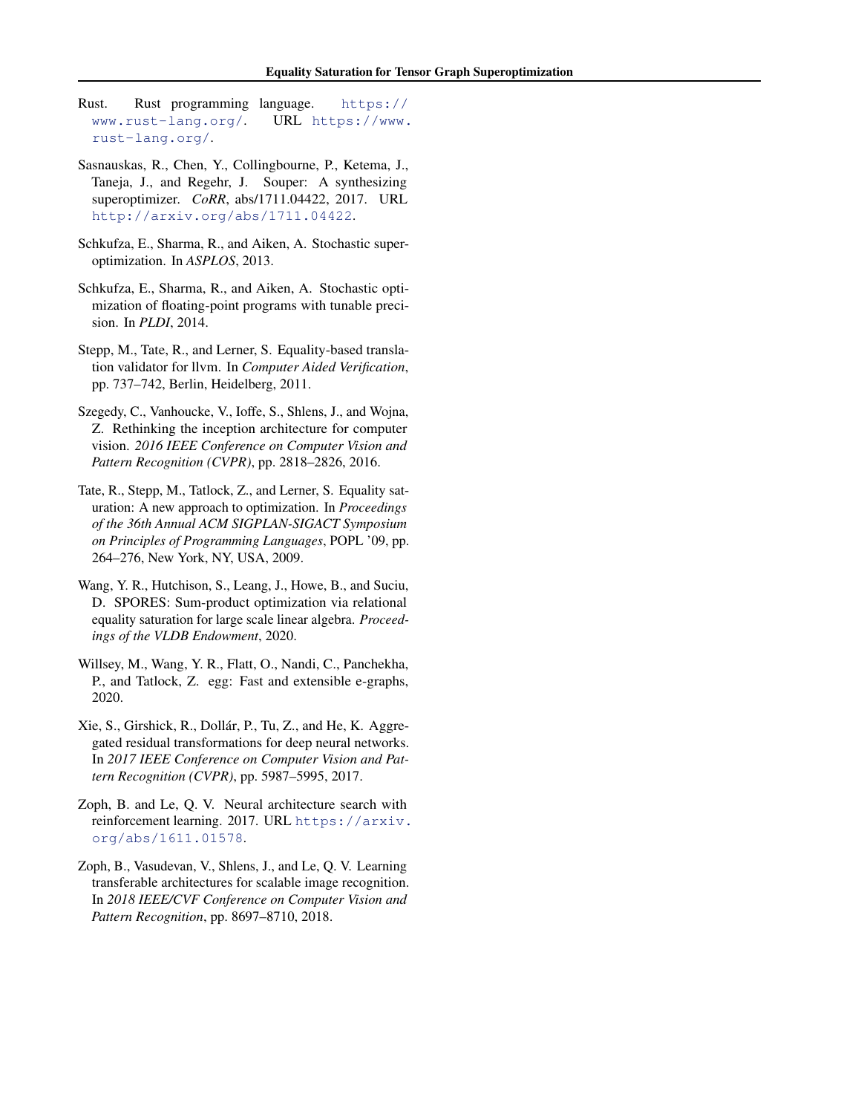- <span id="page-11-0"></span>Rust. Rust programming language. [https://](https://www.rust-lang.org/) [www.rust-lang.org/](https://www.rust-lang.org/). URL [https://www.](https://www.rust-lang.org/) [rust-lang.org/](https://www.rust-lang.org/).
- Sasnauskas, R., Chen, Y., Collingbourne, P., Ketema, J., Taneja, J., and Regehr, J. Souper: A synthesizing superoptimizer. *CoRR*, abs/1711.04422, 2017. URL <http://arxiv.org/abs/1711.04422>.
- Schkufza, E., Sharma, R., and Aiken, A. Stochastic superoptimization. In *ASPLOS*, 2013.
- Schkufza, E., Sharma, R., and Aiken, A. Stochastic optimization of floating-point programs with tunable precision. In *PLDI*, 2014.
- Stepp, M., Tate, R., and Lerner, S. Equality-based translation validator for llvm. In *Computer Aided Verification*, pp. 737–742, Berlin, Heidelberg, 2011.
- Szegedy, C., Vanhoucke, V., Ioffe, S., Shlens, J., and Wojna, Z. Rethinking the inception architecture for computer vision. *2016 IEEE Conference on Computer Vision and Pattern Recognition (CVPR)*, pp. 2818–2826, 2016.
- Tate, R., Stepp, M., Tatlock, Z., and Lerner, S. Equality saturation: A new approach to optimization. In *Proceedings of the 36th Annual ACM SIGPLAN-SIGACT Symposium on Principles of Programming Languages*, POPL '09, pp. 264–276, New York, NY, USA, 2009.
- Wang, Y. R., Hutchison, S., Leang, J., Howe, B., and Suciu, D. SPORES: Sum-product optimization via relational equality saturation for large scale linear algebra. *Proceedings of the VLDB Endowment*, 2020.
- Willsey, M., Wang, Y. R., Flatt, O., Nandi, C., Panchekha, P., and Tatlock, Z. egg: Fast and extensible e-graphs, 2020.
- Xie, S., Girshick, R., Dollár, P., Tu, Z., and He, K. Aggregated residual transformations for deep neural networks. In *2017 IEEE Conference on Computer Vision and Pattern Recognition (CVPR)*, pp. 5987–5995, 2017.
- Zoph, B. and Le, Q. V. Neural architecture search with reinforcement learning. 2017. URL [https://arxiv.](https://arxiv.org/abs/1611.01578) [org/abs/1611.01578](https://arxiv.org/abs/1611.01578).
- Zoph, B., Vasudevan, V., Shlens, J., and Le, Q. V. Learning transferable architectures for scalable image recognition. In *2018 IEEE/CVF Conference on Computer Vision and Pattern Recognition*, pp. 8697–8710, 2018.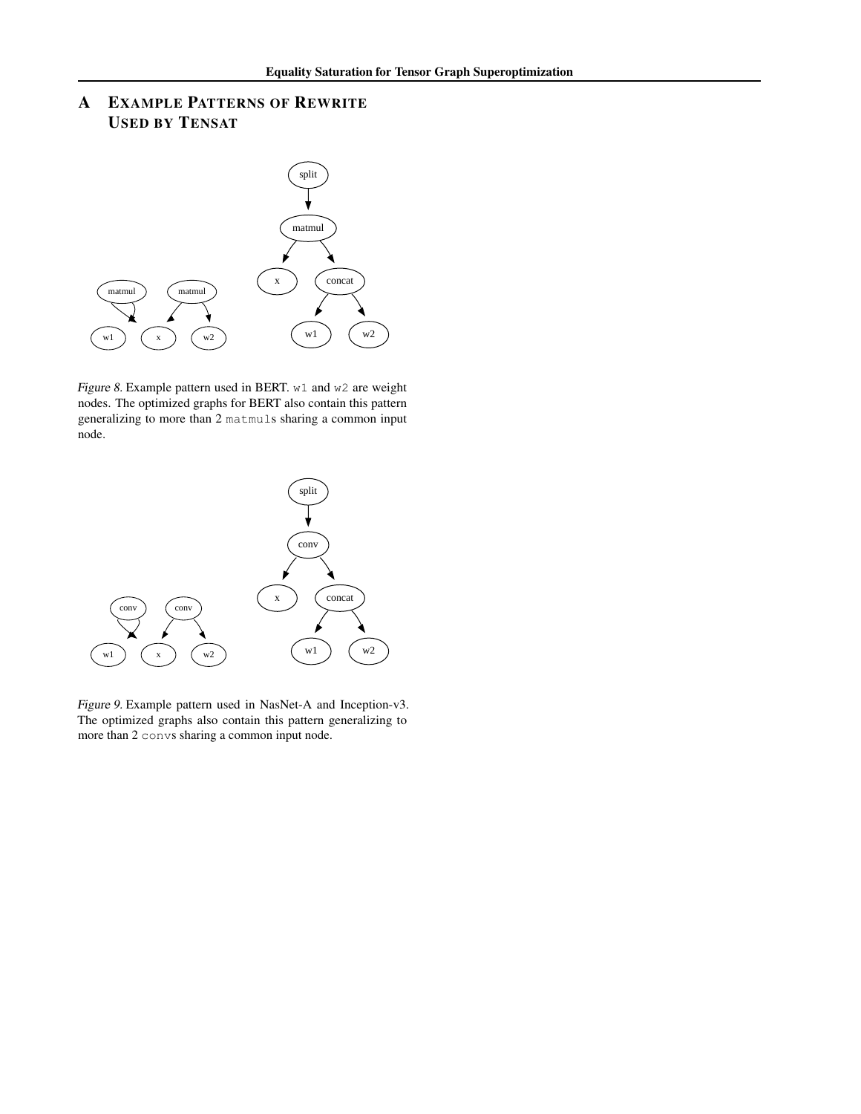# A EXAMPLE PATTERNS OF REWRITE USED BY TENSAT



Figure 8. Example pattern used in BERT. w1 and w2 are weight nodes. The optimized graphs for BERT also contain this pattern generalizing to more than 2 matmuls sharing a common input node.



Figure 9. Example pattern used in NasNet-A and Inception-v3. The optimized graphs also contain this pattern generalizing to more than 2 convs sharing a common input node.